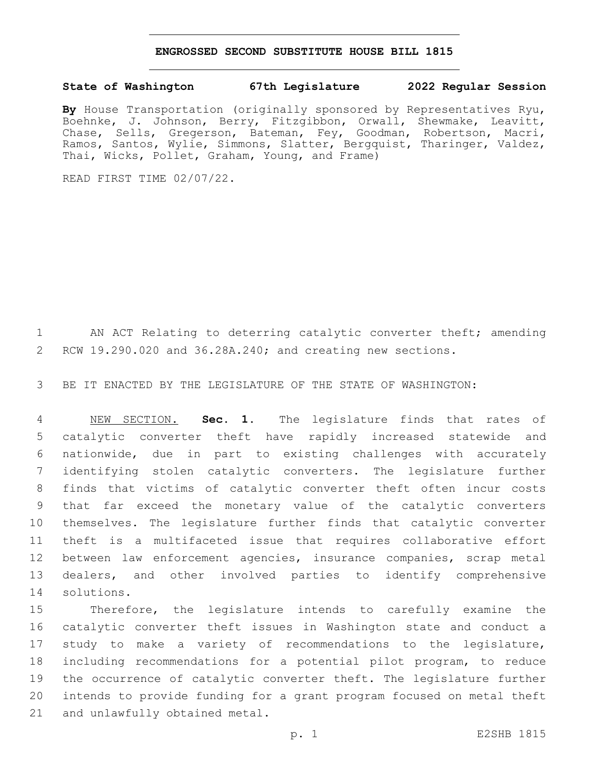## **ENGROSSED SECOND SUBSTITUTE HOUSE BILL 1815**

## **State of Washington 67th Legislature 2022 Regular Session**

**By** House Transportation (originally sponsored by Representatives Ryu, Boehnke, J. Johnson, Berry, Fitzgibbon, Orwall, Shewmake, Leavitt, Chase, Sells, Gregerson, Bateman, Fey, Goodman, Robertson, Macri, Ramos, Santos, Wylie, Simmons, Slatter, Bergquist, Tharinger, Valdez, Thai, Wicks, Pollet, Graham, Young, and Frame)

READ FIRST TIME 02/07/22.

1 AN ACT Relating to deterring catalytic converter theft; amending RCW 19.290.020 and 36.28A.240; and creating new sections.

BE IT ENACTED BY THE LEGISLATURE OF THE STATE OF WASHINGTON:

 NEW SECTION. **Sec. 1.** The legislature finds that rates of catalytic converter theft have rapidly increased statewide and nationwide, due in part to existing challenges with accurately identifying stolen catalytic converters. The legislature further finds that victims of catalytic converter theft often incur costs that far exceed the monetary value of the catalytic converters themselves. The legislature further finds that catalytic converter theft is a multifaceted issue that requires collaborative effort between law enforcement agencies, insurance companies, scrap metal dealers, and other involved parties to identify comprehensive solutions.

 Therefore, the legislature intends to carefully examine the catalytic converter theft issues in Washington state and conduct a study to make a variety of recommendations to the legislature, including recommendations for a potential pilot program, to reduce the occurrence of catalytic converter theft. The legislature further intends to provide funding for a grant program focused on metal theft 21 and unlawfully obtained metal.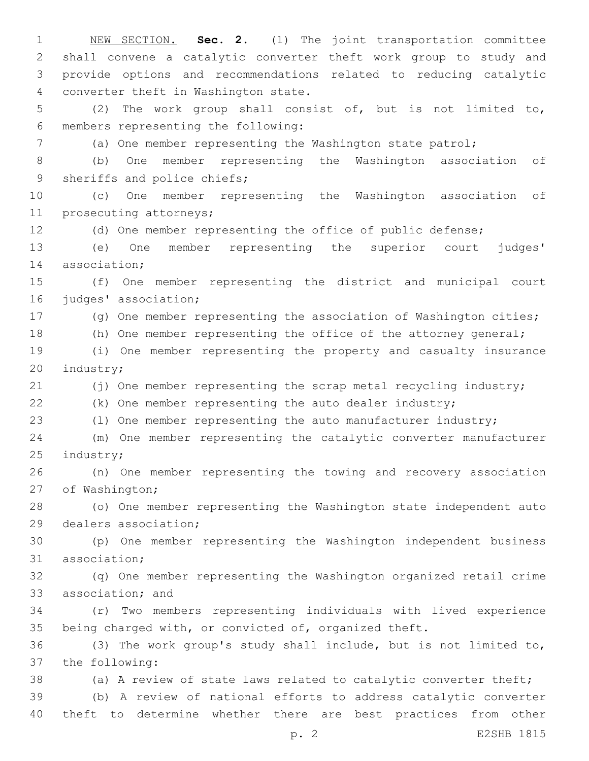NEW SECTION. **Sec. 2.** (1) The joint transportation committee shall convene a catalytic converter theft work group to study and provide options and recommendations related to reducing catalytic converter theft in Washington state. (2) The work group shall consist of, but is not limited to, members representing the following:6 (a) One member representing the Washington state patrol; (b) One member representing the Washington association of 9 sheriffs and police chiefs; (c) One member representing the Washington association of 11 prosecuting attorneys; (d) One member representing the office of public defense; (e) One member representing the superior court judges' 14 association; (f) One member representing the district and municipal court 16 judges' association; (g) One member representing the association of Washington cities; (h) One member representing the office of the attorney general; (i) One member representing the property and casualty insurance 20 industry; 21 (j) One member representing the scrap metal recycling industry; (k) One member representing the auto dealer industry; (l) One member representing the auto manufacturer industry; (m) One member representing the catalytic converter manufacturer 25 industry; (n) One member representing the towing and recovery association 27 of Washington; (o) One member representing the Washington state independent auto 29 dealers association; (p) One member representing the Washington independent business 31 association; (q) One member representing the Washington organized retail crime 33 association; and (r) Two members representing individuals with lived experience being charged with, or convicted of, organized theft. (3) The work group's study shall include, but is not limited to, 37 the following: (a) A review of state laws related to catalytic converter theft; (b) A review of national efforts to address catalytic converter theft to determine whether there are best practices from other

p. 2 E2SHB 1815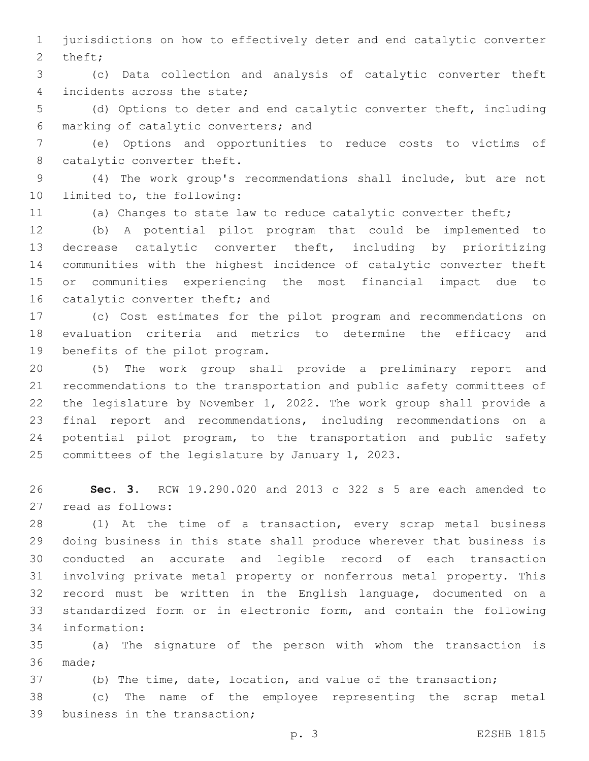jurisdictions on how to effectively deter and end catalytic converter 2 theft;

 (c) Data collection and analysis of catalytic converter theft 4 incidents across the state;

 (d) Options to deter and end catalytic converter theft, including marking of catalytic converters; and6

 (e) Options and opportunities to reduce costs to victims of 8 catalytic converter theft.

 (4) The work group's recommendations shall include, but are not 10 limited to, the following:

(a) Changes to state law to reduce catalytic converter theft;

 (b) A potential pilot program that could be implemented to decrease catalytic converter theft, including by prioritizing communities with the highest incidence of catalytic converter theft or communities experiencing the most financial impact due to 16 catalytic converter theft; and

 (c) Cost estimates for the pilot program and recommendations on evaluation criteria and metrics to determine the efficacy and 19 benefits of the pilot program.

 (5) The work group shall provide a preliminary report and recommendations to the transportation and public safety committees of the legislature by November 1, 2022. The work group shall provide a final report and recommendations, including recommendations on a potential pilot program, to the transportation and public safety 25 committees of the legislature by January 1, 2023.

 **Sec. 3.** RCW 19.290.020 and 2013 c 322 s 5 are each amended to 27 read as follows:

 (1) At the time of a transaction, every scrap metal business doing business in this state shall produce wherever that business is conducted an accurate and legible record of each transaction involving private metal property or nonferrous metal property. This record must be written in the English language, documented on a standardized form or in electronic form, and contain the following information:34

 (a) The signature of the person with whom the transaction is 36 made;

(b) The time, date, location, and value of the transaction;

 (c) The name of the employee representing the scrap metal 39 business in the transaction;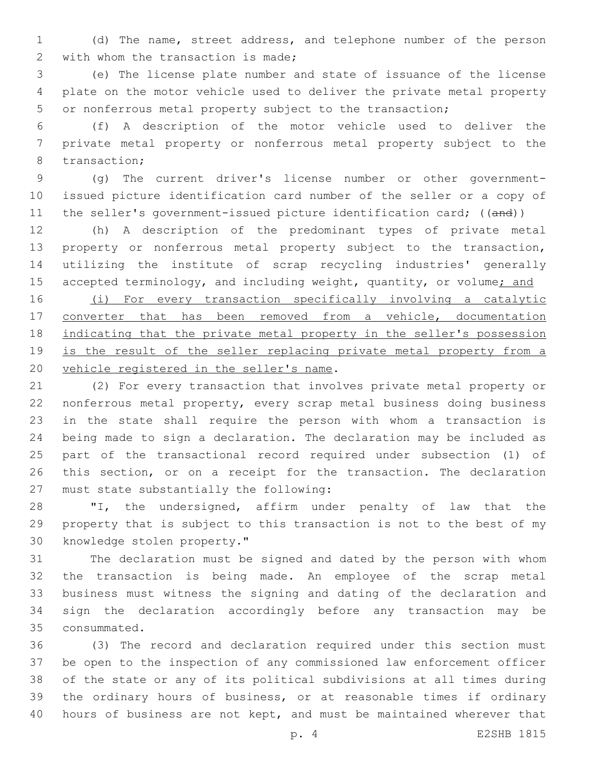(d) The name, street address, and telephone number of the person 2 with whom the transaction is made;

 (e) The license plate number and state of issuance of the license plate on the motor vehicle used to deliver the private metal property or nonferrous metal property subject to the transaction;

 (f) A description of the motor vehicle used to deliver the private metal property or nonferrous metal property subject to the 8 transaction;

 (g) The current driver's license number or other government- issued picture identification card number of the seller or a copy of 11 the seller's government-issued picture identification card; ((and))

 (h) A description of the predominant types of private metal property or nonferrous metal property subject to the transaction, utilizing the institute of scrap recycling industries' generally 15 accepted terminology, and including weight, quantity, or volume; and

 (i) For every transaction specifically involving a catalytic converter that has been removed from a vehicle, documentation 18 indicating that the private metal property in the seller's possession 19 is the result of the seller replacing private metal property from a 20 vehicle registered in the seller's name.

 (2) For every transaction that involves private metal property or nonferrous metal property, every scrap metal business doing business in the state shall require the person with whom a transaction is being made to sign a declaration. The declaration may be included as part of the transactional record required under subsection (1) of this section, or on a receipt for the transaction. The declaration 27 must state substantially the following:

 "I, the undersigned, affirm under penalty of law that the property that is subject to this transaction is not to the best of my 30 knowledge stolen property."

 The declaration must be signed and dated by the person with whom the transaction is being made. An employee of the scrap metal business must witness the signing and dating of the declaration and sign the declaration accordingly before any transaction may be 35 consummated.

 (3) The record and declaration required under this section must be open to the inspection of any commissioned law enforcement officer of the state or any of its political subdivisions at all times during the ordinary hours of business, or at reasonable times if ordinary hours of business are not kept, and must be maintained wherever that